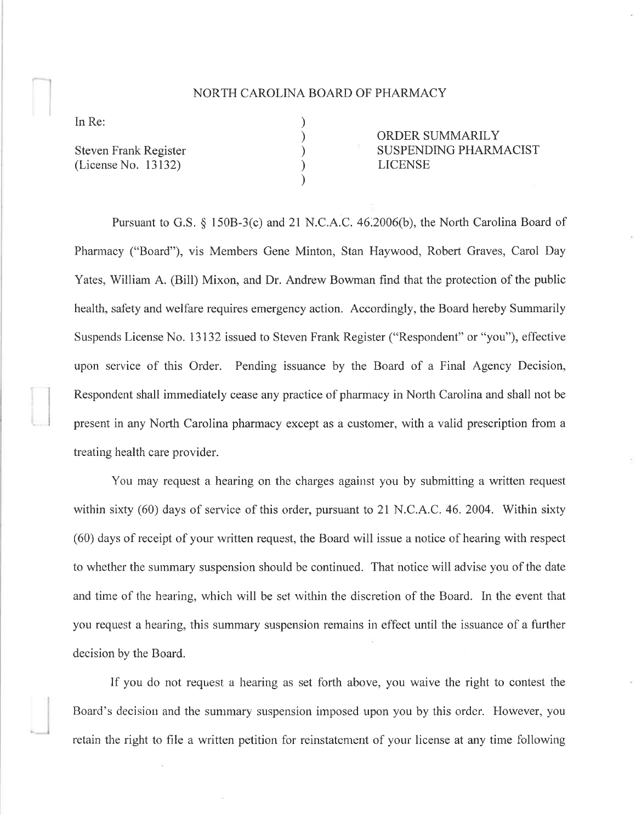## NORTH CAROLINA BOARD OF PHARMACY

) ) ) )  $\lambda$ 

In Re:

Steven Frank Register (License No. 13132)

ORDER SUMMARILY SUSPENDING PHARMACIST LICENSE

Pursuant to G.S. § 150B-3(c) and 21 N.C.A.C. 46.2006(b), the North Carolina Board of Pharmacy ("Board"), vis Members Gene Minton, Stan Haywood, Robert Graves, Carol Day Yates, William A. (Bill) Mixon, and Dr. Andrew Bowman find that the protection of the public health, safety and welfare requires emergency action. Accordingly, the Board hereby Summarily Suspends License No. 13132 issued to Steven Frank Register ("Respondent" or "you"), effective upon service of this Order. Pending issuance by the Board of a Final Agency Decision, Respondent shall immediately cease any practice of pharmacy in North Carolina and shall not be present in any North Carolina pharmacy except as a customer, with a valid prescription from a treating health care provider.

You may request a hearing on the charges agaiust you by submitting a written request within sixty  $(60)$  days of service of this order, pursuant to 21 N.C.A.C. 46. 2004. Within sixty (60) days of receipt of your rvritten request, the Board will issue a notice of hearing with respect to whether the summary suspension should be continued. That notice will advise you of the date and time of the hearing, which will be set within the discretion of the Board. In the event that you request a hearing, this summary suspension remains in effect until the issuance of a further decision by the Board.

If you do not request a hearing as set forth above, you waive the right to contest the Board's decision and the summary suspension imposed upon you by this order. However, you retain the right to file a written petition for reinstatement of your license at any time following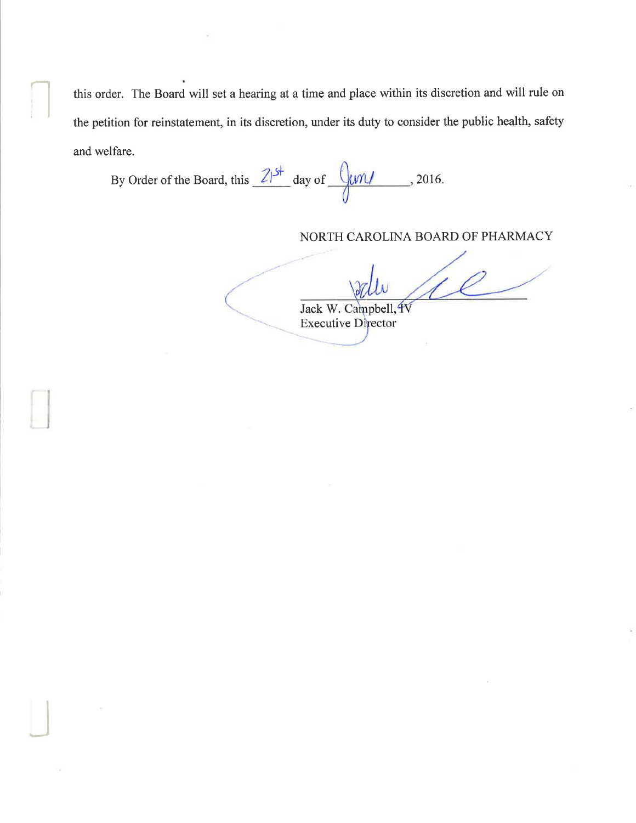this order. The Board will set a hearing at a time and place within its discretion and will rule on the petition for reinstatement, in its discretion, under its duty to consider the public health, safety and welfare.

By Order of the Board, this  $\frac{21^{5}}{1}$  day of  $\frac{0 \text{cm}}{1}$ , 2016.

I

J

## NORTH CAROLINA BOARD OF PHARMACY

Jack W. Campbell, **Executive Director**